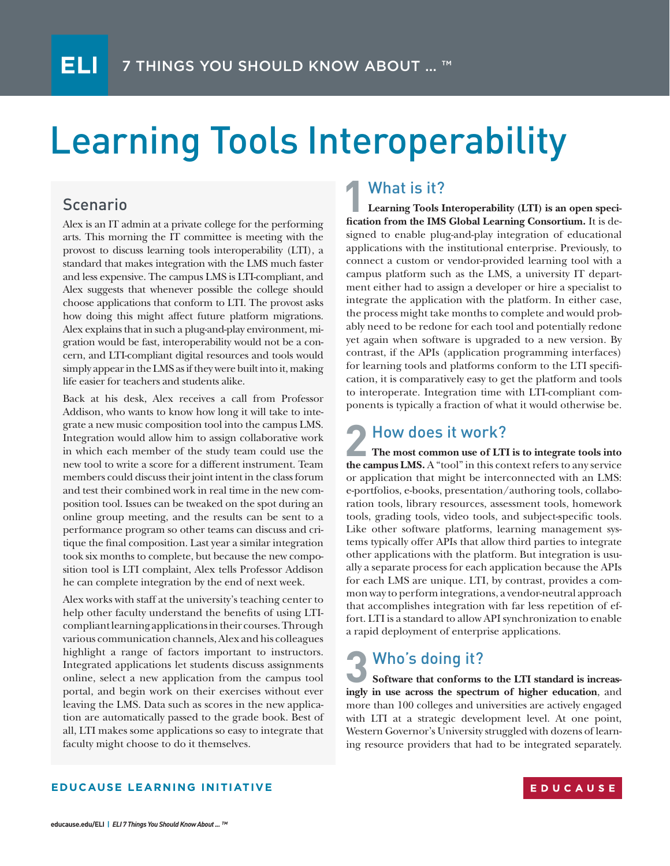# Learning Tools Interoperability

#### Scenario

Alex is an IT admin at a private college for the performing arts. This morning the IT committee is meeting with the provost to discuss learning tools interoperability (LTI), a standard that makes integration with the LMS much faster and less expensive. The campus LMS is LTI-compliant, and Alex suggests that whenever possible the college should choose applications that conform to LTI. The provost asks how doing this might affect future platform migrations. Alex explains that in such a plug-and-play environment, migration would be fast, interoperability would not be a concern, and LTI-compliant digital resources and tools would simply appear in the LMS as if they were built into it, making life easier for teachers and students alike.

Back at his desk, Alex receives a call from Professor Addison, who wants to know how long it will take to integrate a new music composition tool into the campus LMS. Integration would allow him to assign collaborative work in which each member of the study team could use the new tool to write a score for a different instrument. Team members could discuss their joint intent in the class forum and test their combined work in real time in the new composition tool. Issues can be tweaked on the spot during an online group meeting, and the results can be sent to a performance program so other teams can discuss and critique the final composition. Last year a similar integration took six months to complete, but because the new composition tool is LTI complaint, Alex tells Professor Addison he can complete integration by the end of next week.

Alex works with staff at the university's teaching center to help other faculty understand the benefits of using LTIcompliant learning applications in their courses. Through various communication channels, Alex and his colleagues highlight a range of factors important to instructors. Integrated applications let students discuss assignments online, select a new application from the campus tool portal, and begin work on their exercises without ever leaving the LMS. Data such as scores in the new application are automatically passed to the grade book. Best of all, LTI makes some applications so easy to integrate that faculty might choose to do it themselves.

### What is it?

**Learning Tools Interoperability (LTI) is an open specification from the IMS Global Learning Consortium.** It is designed to enable plug-and-play integration of educational applications with the institutional enterprise. Previously, to connect a custom or vendor-provided learning tool with a campus platform such as the LMS, a university IT department either had to assign a developer or hire a specialist to integrate the application with the platform. In either case, the process might take months to complete and would probably need to be redone for each tool and potentially redone yet again when software is upgraded to a new version. By contrast, if the APIs (application programming interfaces) for learning tools and platforms conform to the LTI specification, it is comparatively easy to get the platform and tools to interoperate. Integration time with LTI-compliant components is typically a fraction of what it would otherwise be. **1**

### How does it work?

**The most common use of LTI is to integrate tools into the campus LMS.** A "tool" in this context refers to any service or application that might be interconnected with an LMS: e-portfolios, e-books, presentation/authoring tools, collaboration tools, library resources, assessment tools, homework tools, grading tools, video tools, and subject-specific tools. Like other software platforms, learning management systems typically offer APIs that allow third parties to integrate other applications with the platform. But integration is usually a separate process for each application because the APIs for each LMS are unique. LTI, by contrast, provides a common way to perform integrations, a vendor-neutral approach that accomplishes integration with far less repetition of effort. LTI is a standard to allow API synchronization to enable a rapid deployment of enterprise applications.

# Who's doing it?

Software that conforms to the LTI standard is increas**ingly in use across the spectrum of higher education**, and more than 100 colleges and universities are actively engaged with LTI at a strategic development level. At one point, Western Governor's University struggled with dozens of learning resource providers that had to be integrated separately.

#### **EDUCAUSE LEARNING INITIATIVE**